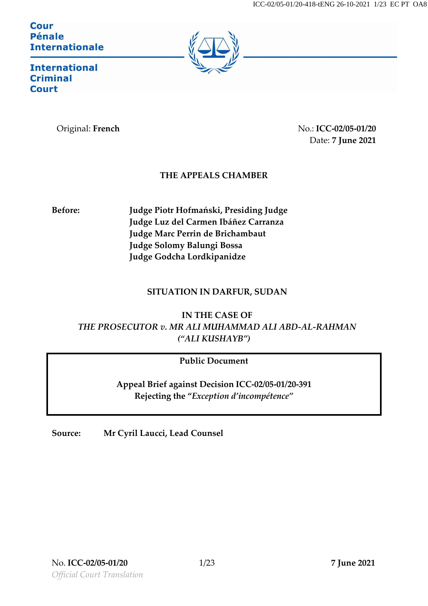Cour **Pénale Internationale** 



**International Criminal Court** 

Original: **French** No.: **ICC-02/05-01/20** Date: **7 June 2021**

## **THE APPEALS CHAMBER**

**Before: Judge Piotr Hofmański, Presiding Judge Judge Luz del Carmen Ibáñez Carranza Judge Marc Perrin de Brichambaut Judge Solomy Balungi Bossa Judge Godcha Lordkipanidze**

### **SITUATION IN DARFUR, SUDAN**

**IN THE CASE OF** *THE PROSECUTOR v. MR ALI MUHAMMAD ALI ABD-AL-RAHMAN ("ALI KUSHAYB")*

## **Public Document**

**Appeal Brief against Decision ICC-02/05-01/20-391 Rejecting the "***Exception d'incompétence"*

**Source: Mr Cyril Laucci, Lead Counsel**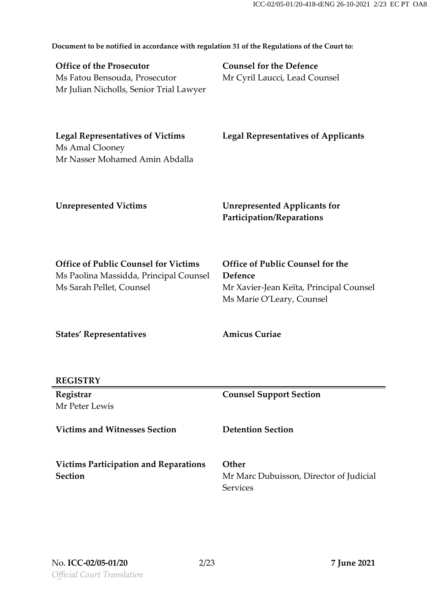**Document to be notified in accordance with regulation 31 of the Regulations of the Court to: Office of the Prosecutor** Ms Fatou Bensouda, Prosecutor Mr Julian Nicholls, Senior Trial Lawyer **Counsel for the Defence** Mr Cyril Laucci, Lead Counsel **Legal Representatives of Victims** Ms Amal Clooney Mr Nasser Mohamed Amin Abdalla **Legal Representatives of Applicants Unrepresented Victims Unrepresented Applicants for Participation/Reparations Office of Public Counsel for Victims** Ms Paolina Massidda, Principal Counsel Ms Sarah Pellet, Counsel **Office of Public Counsel for the Defence** Mr Xavier-Jean Keïta, Principal Counsel Ms Marie O'Leary, Counsel **States' Representatives REGISTRY Amicus Curiae Registrar** Mr Peter Lewis **Counsel Support Section Victims and Witnesses Section Detention Section Victims Participation and Reparations Section Other** Mr Marc Dubuisson, Director of Judicial **Services**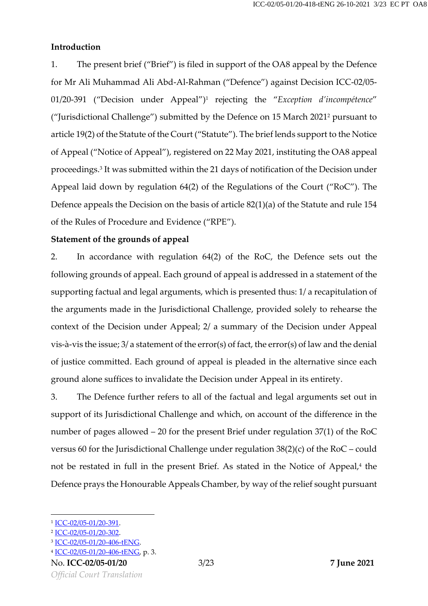#### **Introduction**

1. The present brief ("Brief") is filed in support of the OA8 appeal by the Defence for Mr Ali Muhammad Ali Abd-Al-Rahman ("Defence") against Decision ICC-02/05- 01/20-391 ("Decision under Appeal") <sup>1</sup> rejecting the "*Exception d'incompétence*" ("Jurisdictional Challenge") submitted by the Defence on 15 March 2021<sup>2</sup> pursuant to article 19(2) of the Statute of the Court ("Statute"). The brief lends support to the Notice of Appeal ("Notice of Appeal"), registered on 22 May 2021, instituting the OA8 appeal proceedings.<sup>3</sup> It was submitted within the 21 days of notification of the Decision under Appeal laid down by regulation 64(2) of the Regulations of the Court ("RoC"). The Defence appeals the Decision on the basis of article 82(1)(a) of the Statute and rule 154 of the Rules of Procedure and Evidence ("RPE").

#### **Statement of the grounds of appeal**

2. In accordance with regulation 64(2) of the RoC, the Defence sets out the following grounds of appeal. Each ground of appeal is addressed in a statement of the supporting factual and legal arguments, which is presented thus: 1/ a recapitulation of the arguments made in the Jurisdictional Challenge, provided solely to rehearse the context of the Decision under Appeal; 2/ a summary of the Decision under Appeal vis-à-vis the issue; 3/ a statement of the error(s) of fact, the error(s) of law and the denial of justice committed. Each ground of appeal is pleaded in the alternative since each ground alone suffices to invalidate the Decision under Appeal in its entirety.

3. The Defence further refers to all of the factual and legal arguments set out in support of its Jurisdictional Challenge and which, on account of the difference in the number of pages allowed – 20 for the present Brief under regulation 37(1) of the RoC versus 60 for the Jurisdictional Challenge under regulation 38(2)(c) of the RoC – could not be restated in full in the present Brief. As stated in the Notice of Appeal, 4 the Defence prays the Honourable Appeals Chamber, by way of the relief sought pursuant

<sup>1</sup> [ICC-02/05-01/20-391.](https://www.legal-tools.org/doc/lg5nag/pdf)

<sup>2</sup> [ICC-02/05-01/20-302.](https://www.legal-tools.org/doc/u05ku9/pdf)

<sup>3</sup> [ICC-02/05-01/20-406-tENG.](https://www.legal-tools.org/doc/qvxqrp/pdf)

<sup>&</sup>lt;sup>4</sup> <u>ICC-02/05-01/20-406-tENG</u>, p. 3.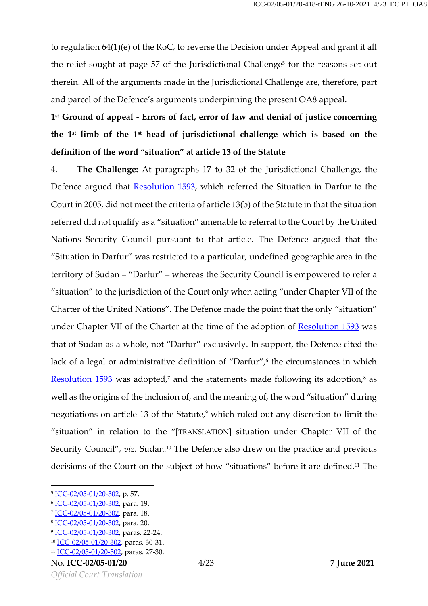to regulation 64(1)(e) of the RoC, to reverse the Decision under Appeal and grant it all the relief sought at page 57 of the Jurisdictional Challenge<sup>5</sup> for the reasons set out therein. All of the arguments made in the Jurisdictional Challenge are, therefore, part and parcel of the Defence's arguments underpinning the present OA8 appeal.

**1 st Ground of appeal - Errors of fact, error of law and denial of justice concerning the 1 st limb of the 1 st head of jurisdictional challenge which is based on the definition of the word "situation" at article 13 of the Statute**

4. **The Challenge:** At paragraphs 17 to 32 of the Jurisdictional Challenge, the Defence argued that [Resolution](https://www.legal-tools.org/doc/4b208f/pdf) 1593, which referred the Situation in Darfur to the Court in 2005, did not meet the criteria of article 13(b) of the Statute in that the situation referred did not qualify as a "situation" amenable to referral to the Court by the United Nations Security Council pursuant to that article. The Defence argued that the "Situation in Darfur" was restricted to a particular, undefined geographic area in the territory of Sudan – "Darfur" – whereas the Security Council is empowered to refer a "situation" to the jurisdiction of the Court only when acting "under Chapter VII of the Charter of the United Nations". The Defence made the point that the only "situation" under Chapter VII of the Charter at the time of the adoption of [Resolution](https://www.legal-tools.org/doc/4b208f/pdf) 1593 was that of Sudan as a whole, not "Darfur" exclusively. In support, the Defence cited the lack of a legal or administrative definition of "Darfur", 6 the circumstances in which <u>[Resolution](https://www.legal-tools.org/doc/4b208f/pdf) 1593</u> was adopted,<sup>7</sup> and the statements made following its adoption,<sup>8</sup> as well as the origins of the inclusion of, and the meaning of, the word "situation" during negotiations on article 13 of the Statute, <sup>9</sup> which ruled out any discretion to limit the "situation" in relation to the "[TRANSLATION] situation under Chapter VII of the Security Council", *viz*. Sudan. <sup>10</sup> The Defence also drew on the practice and previous decisions of the Court on the subject of how "situations" before it are defined. <sup>11</sup> The

<sup>&</sup>lt;sup>5</sup> <u>ICC-02/05-01/20-302</u>, p. 57.

<sup>&</sup>lt;sup>6</sup> <u>ICC-02/05-01/20-302</u>, para. 19.

<sup>&</sup>lt;sup>7</sup> <u>ICC-02/05-01/20-302</u>, para. 18.

<sup>&</sup>lt;sup>8</sup> <u>ICC-02/05-01/20-302</u>, para. 20.

<sup>&</sup>lt;sup>9</sup> [ICC-02/05-01/20-302,](https://www.legal-tools.org/doc/u05ku9/pdf) paras. 22-24.

<sup>&</sup>lt;sup>10</sup> [ICC-02/05-01/20-302,](https://www.legal-tools.org/doc/u05ku9/pdf) paras. 30-31.

<sup>11</sup> [ICC-02/05-01/20-302,](https://www.legal-tools.org/doc/u05ku9/pdf) paras. 27-30.

No. **ICC-02/05-01/20** 4/23 **7 June 2021**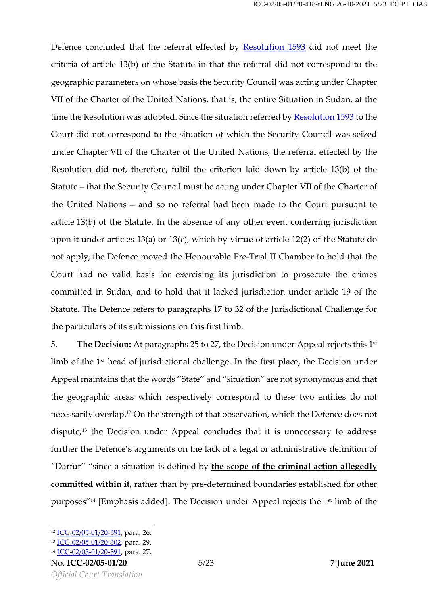Defence concluded that the referral effected by **[Resolution](https://www.legal-tools.org/doc/4b208f/pdf) 1593** did not meet the criteria of article 13(b) of the Statute in that the referral did not correspond to the geographic parameters on whose basis the Security Council was acting under Chapter VII of the Charter of the United Nations, that is, the entire Situation in Sudan, at the time the Resolution was adopted. Since the situation referred by [Resolution 1593](https://www.legal-tools.org/doc/4b208f/pdf) to the Court did not correspond to the situation of which the Security Council was seized under Chapter VII of the Charter of the United Nations, the referral effected by the Resolution did not, therefore, fulfil the criterion laid down by article 13(b) of the Statute – that the Security Council must be acting under Chapter VII of the Charter of the United Nations – and so no referral had been made to the Court pursuant to article 13(b) of the Statute. In the absence of any other event conferring jurisdiction upon it under articles 13(a) or 13(c), which by virtue of article 12(2) of the Statute do not apply, the Defence moved the Honourable Pre-Trial II Chamber to hold that the Court had no valid basis for exercising its jurisdiction to prosecute the crimes committed in Sudan, and to hold that it lacked jurisdiction under article 19 of the Statute. The Defence refers to paragraphs 17 to 32 of the Jurisdictional Challenge for the particulars of its submissions on this first limb.

5. **The Decision:** At paragraphs 25 to 27, the Decision under Appeal rejects this 1st limb of the 1st head of jurisdictional challenge. In the first place, the Decision under Appeal maintains that the words "State" and "situation" are not synonymous and that the geographic areas which respectively correspond to these two entities do not necessarily overlap.<sup>12</sup> On the strength of that observation, which the Defence does not dispute,<sup>13</sup> the Decision under Appeal concludes that it is unnecessary to address further the Defence's arguments on the lack of a legal or administrative definition of "Darfur" "since a situation is defined by **the scope of the criminal action allegedly committed within it**, rather than by pre-determined boundaries established for other purposes"<sup>14</sup> [Emphasis added]. The Decision under Appeal rejects the 1<sup>st</sup> limb of the

<sup>12</sup> [ICC-02/05-01/20-391,](https://www.legal-tools.org/doc/lg5nag/pdf) para. 26.

<sup>13</sup> [ICC-02/05-01/20-302,](https://www.legal-tools.org/doc/u05ku9/pdf) para. 29.

<sup>14</sup> [ICC-02/05-01/20-391,](https://www.legal-tools.org/doc/lg5nag/pdf) para. 27.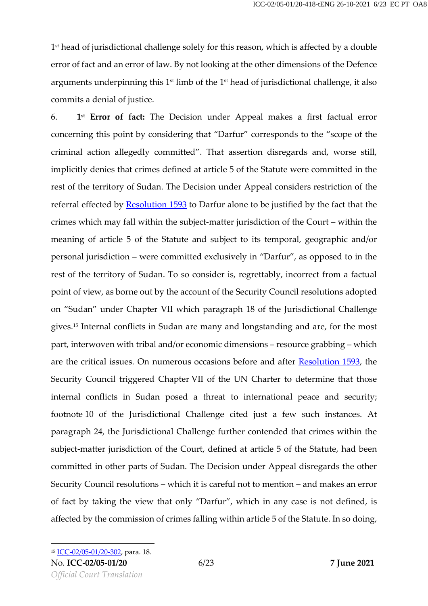1 st head of jurisdictional challenge solely for this reason, which is affected by a double error of fact and an error of law. By not looking at the other dimensions of the Defence arguments underpinning this  $1^\text{st}$  limb of the  $1^\text{st}$  head of jurisdictional challenge, it also commits a denial of justice.

6. **1 st Error of fact:** The Decision under Appeal makes a first factual error concerning this point by considering that "Darfur" corresponds to the "scope of the criminal action allegedly committed". That assertion disregards and, worse still, implicitly denies that crimes defined at article 5 of the Statute were committed in the rest of the territory of Sudan. The Decision under Appeal considers restriction of the referral effected by **[Resolution](https://www.legal-tools.org/doc/4b208f/pdf) 1593** to Darfur alone to be justified by the fact that the crimes which may fall within the subject-matter jurisdiction of the Court – within the meaning of article 5 of the Statute and subject to its temporal, geographic and/or personal jurisdiction – were committed exclusively in "Darfur", as opposed to in the rest of the territory of Sudan. To so consider is, regrettably, incorrect from a factual point of view, as borne out by the account of the Security Council resolutions adopted on "Sudan" under Chapter VII which paragraph 18 of the Jurisdictional Challenge gives. <sup>15</sup> Internal conflicts in Sudan are many and longstanding and are, for the most part, interwoven with tribal and/or economic dimensions – resource grabbing – which are the critical issues. On numerous occasions before and after [Resolution 1593,](https://www.legal-tools.org/doc/4b208f/pdf) the Security Council triggered Chapter VII of the UN Charter to determine that those internal conflicts in Sudan posed a threat to international peace and security; footnote 10 of the Jurisdictional Challenge cited just a few such instances. At paragraph 24, the Jurisdictional Challenge further contended that crimes within the subject-matter jurisdiction of the Court, defined at article 5 of the Statute, had been committed in other parts of Sudan. The Decision under Appeal disregards the other Security Council resolutions – which it is careful not to mention – and makes an error of fact by taking the view that only "Darfur", which in any case is not defined, is affected by the commission of crimes falling within article 5 of the Statute. In so doing,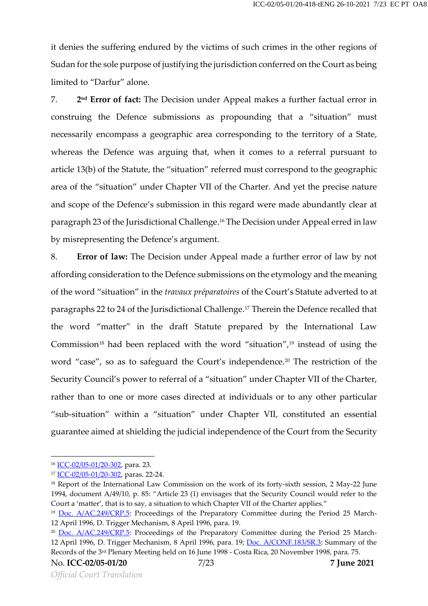it denies the suffering endured by the victims of such crimes in the other regions of Sudan for the sole purpose of justifying the jurisdiction conferred on the Court as being limited to "Darfur" alone.

7. **2** 2<sup>nd</sup> **Error of fact:** The Decision under Appeal makes a further factual error in construing the Defence submissions as propounding that a "situation" must necessarily encompass a geographic area corresponding to the territory of a State, whereas the Defence was arguing that, when it comes to a referral pursuant to article 13(b) of the Statute, the "situation" referred must correspond to the geographic area of the "situation" under Chapter VII of the Charter. And yet the precise nature and scope of the Defence's submission in this regard were made abundantly clear at paragraph 23 of the Jurisdictional Challenge. <sup>16</sup> The Decision under Appeal erred in law by misrepresenting the Defence's argument.

8. **Error of law:** The Decision under Appeal made a further error of law by not affording consideration to the Defence submissions on the etymology and the meaning of the word "situation" in the *travaux préparatoires* of the Court's Statute adverted to at paragraphs 22 to 24 of the Jurisdictional Challenge. <sup>17</sup> Therein the Defence recalled that the word "matter" in the draft Statute prepared by the International Law Commission $^{18}$  had been replaced with the word "situation", $^{19}$  instead of using the word "case", so as to safeguard the Court's independence. <sup>20</sup> The restriction of the Security Council's power to referral of a "situation" under Chapter VII of the Charter, rather than to one or more cases directed at individuals or to any other particular "sub-situation" within a "situation" under Chapter VII, constituted an essential guarantee aimed at shielding the judicial independence of the Court from the Security

<sup>16</sup> [ICC-02/05-01/20-302,](https://www.legal-tools.org/doc/u05ku9/pdf) para. 23.

<sup>&</sup>lt;sup>17</sup> [ICC-02/05-01/20-302,](https://www.legal-tools.org/doc/u05ku9/pdf) paras. 22-24.

<sup>&</sup>lt;sup>18</sup> Report of the International Law Commission on the work of its forty-sixth session, 2 May-22 June 1994, document A/49/10, p. 85: "Article 23 (1) envisages that the Security Council would refer to the Court a 'matter', that is to say, a situation to which Chapter VII of the Charter applies."

<sup>&</sup>lt;sup>19</sup> [Doc. A/AC.249/CRP.5:](https://www.legal-tools.org/doc/268ae1/pdf) Proceedings of the Preparatory Committee during the Period 25 March-12 April 1996, D. Trigger Mechanism, 8 April 1996, para. 19.

<sup>&</sup>lt;sup>20</sup> [Doc. A/AC.249/CRP.5:](https://www.legal-tools.org/doc/268ae1/pdf) Proceedings of the Preparatory Committee during the Period 25 March-12 April 1996, D. Trigger Mechanism, 8 April 1996, para. 19; [Doc. A/CONF.183/SR.3:](https://www.legal-tools.org/doc/313a47/pdf) Summary of the Records of the 3rd Plenary Meeting held on 16 June 1998 - Costa Rica, 20 November 1998, para. 75.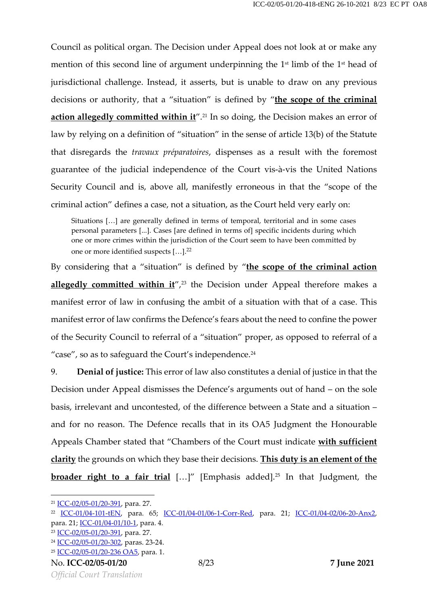Council as political organ. The Decision under Appeal does not look at or make any mention of this second line of argument underpinning the 1<sup>st</sup> limb of the 1<sup>st</sup> head of jurisdictional challenge. Instead, it asserts, but is unable to draw on any previous decisions or authority, that a "situation" is defined by "**the scope of the criminal action allegedly committed within it**". <sup>21</sup> In so doing, the Decision makes an error of law by relying on a definition of "situation" in the sense of article 13(b) of the Statute that disregards the *travaux préparatoires*, dispenses as a result with the foremost guarantee of the judicial independence of the Court vis-à-vis the United Nations Security Council and is, above all, manifestly erroneous in that the "scope of the criminal action" defines a case, not a situation, as the Court held very early on:

Situations […] are generally defined in terms of temporal, territorial and in some cases personal parameters [...]. Cases [are defined in terms of] specific incidents during which one or more crimes within the jurisdiction of the Court seem to have been committed by one or more identified suspects [...].<sup>22</sup>

By considering that a "situation" is defined by "**the scope of the criminal action allegedly committed within it**", <sup>23</sup> the Decision under Appeal therefore makes a manifest error of law in confusing the ambit of a situation with that of a case. This manifest error of law confirms the Defence's fears about the need to confine the power of the Security Council to referral of a "situation" proper, as opposed to referral of a "case", so as to safeguard the Court's independence. 24

9. **Denial of justice:** This error of law also constitutes a denial of justice in that the Decision under Appeal dismisses the Defence's arguments out of hand – on the sole basis, irrelevant and uncontested, of the difference between a State and a situation – and for no reason. The Defence recalls that in its OA5 Judgment the Honourable Appeals Chamber stated that "Chambers of the Court must indicate **with sufficient clarity** the grounds on which they base their decisions. **This duty is an element of the broader right to a fair trial** […]" [Emphasis added]. <sup>25</sup> In that Judgment, the

<sup>21</sup> [ICC-02/05-01/20-391,](https://www.legal-tools.org/doc/lg5nag/pdf) para. 27.

<sup>&</sup>lt;sup>22</sup> [ICC-01/04-101-tEN,](https://www.legal-tools.org/doc/2fe2fc/pdf) para. 65; [ICC-01/04-01/06-1-Corr-Red,](https://www.legal-tools.org/doc/af6679/pdf) para. 21; [ICC-01/04-02/06-20-Anx2,](https://www.legal-tools.org/doc/d68b07/pdf) para. 21; [ICC-01/04-01/10-1,](https://www.legal-tools.org/doc/04d4fa/pdf) para. 4.

<sup>23</sup> [ICC-02/05-01/20-391,](https://www.legal-tools.org/doc/lg5nag/pdf) para. 27.

<sup>&</sup>lt;sup>24</sup> [ICC-02/05-01/20-302,](https://www.legal-tools.org/doc/u05ku9/pdf) paras. 23-24.

<sup>25</sup> [ICC-02/05-01/20-236 OA5,](https://www.legal-tools.org/doc/g16gd1/pdf) para. 1.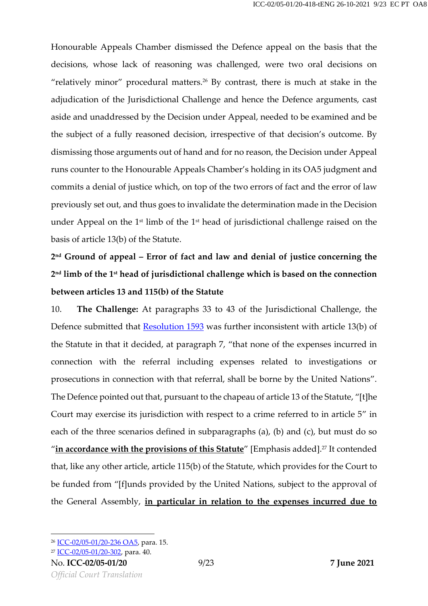Honourable Appeals Chamber dismissed the Defence appeal on the basis that the decisions, whose lack of reasoning was challenged, were two oral decisions on "relatively minor" procedural matters.<sup>26</sup> By contrast, there is much at stake in the adjudication of the Jurisdictional Challenge and hence the Defence arguments, cast aside and unaddressed by the Decision under Appeal, needed to be examined and be the subject of a fully reasoned decision, irrespective of that decision's outcome. By dismissing those arguments out of hand and for no reason, the Decision under Appeal runs counter to the Honourable Appeals Chamber's holding in its OA5 judgment and commits a denial of justice which, on top of the two errors of fact and the error of law previously set out, and thus goes to invalidate the determination made in the Decision under Appeal on the  $1$ <sup>st</sup> limb of the  $1$ <sup>st</sup> head of jurisdictional challenge raised on the basis of article 13(b) of the Statute.

## **2 nd Ground of appeal – Error of fact and law and denial of justice concerning the 2 nd limb of the 1 st head of jurisdictional challenge which is based on the connection between articles 13 and 115(b) of the Statute**

10. **The Challenge:** At paragraphs 33 to 43 of the Jurisdictional Challenge, the Defence submitted that [Resolution](https://www.legal-tools.org/doc/4b208f/pdf) 1593 was further inconsistent with article 13(b) of the Statute in that it decided, at paragraph 7, "that none of the expenses incurred in connection with the referral including expenses related to investigations or prosecutions in connection with that referral, shall be borne by the United Nations". The Defence pointed out that, pursuant to the chapeau of article 13 of the Statute, "[t]he Court may exercise its jurisdiction with respect to a crime referred to in article 5" in each of the three scenarios defined in subparagraphs (a), (b) and (c), but must do so "**in accordance with the provisions of this Statute**" [Emphasis added]. <sup>27</sup> It contended that, like any other article, article 115(b) of the Statute, which provides for the Court to be funded from "[f]unds provided by the United Nations, subject to the approval of the General Assembly, **in particular in relation to the expenses incurred due to** 

<sup>26</sup> [ICC-02/05-01/20-236 OA5,](https://www.legal-tools.org/doc/g16gd1/pdf) para. 15.

<sup>27</sup> [ICC-02/05-01/20-302,](https://www.legal-tools.org/doc/u05ku9/pdf) para. 40.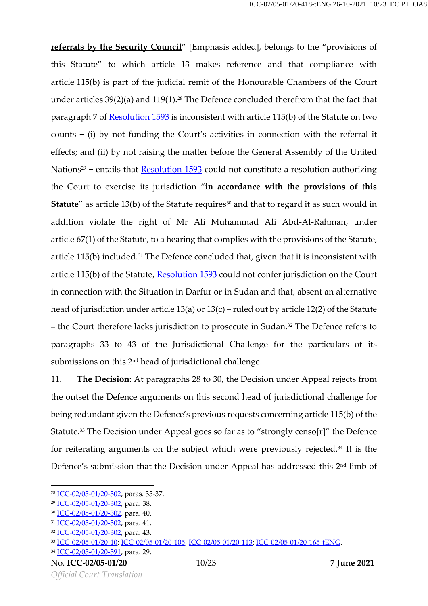**referrals by the Security Council**" [Emphasis added], belongs to the "provisions of this Statute" to which article 13 makes reference and that compliance with article 115(b) is part of the judicial remit of the Honourable Chambers of the Court under articles  $39(2)(a)$  and  $119(1)$ .<sup>28</sup> The Defence concluded therefrom that the fact that paragraph 7 of [Resolution](https://www.legal-tools.org/doc/4b208f/pdf) 1593 is inconsistent with article 115(b) of the Statute on two counts − (i) by not funding the Court's activities in connection with the referral it effects; and (ii) by not raising the matter before the General Assembly of the United Nations<sup>29</sup> − entails that [Resolution](https://www.legal-tools.org/doc/4b208f/pdf) 1593 could not constitute a resolution authorizing the Court to exercise its jurisdiction "**in accordance with the provisions of this**  Statute<sup>"</sup> as article 13(b) of the Statute requires<sup>30</sup> and that to regard it as such would in addition violate the right of Mr Ali Muhammad Ali Abd-Al-Rahman, under article 67(1) of the Statute, to a hearing that complies with the provisions of the Statute, article 115(b) included.<sup>31</sup> The Defence concluded that, given that it is inconsistent with article 115(b) of the Statute, [Resolution](https://www.legal-tools.org/doc/4b208f/pdf) 1593 could not confer jurisdiction on the Court in connection with the Situation in Darfur or in Sudan and that, absent an alternative head of jurisdiction under article 13(a) or 13(c) – ruled out by article 12(2) of the Statute – the Court therefore lacks jurisdiction to prosecute in Sudan. <sup>32</sup> The Defence refers to paragraphs 33 to 43 of the Jurisdictional Challenge for the particulars of its submissions on this 2nd head of jurisdictional challenge.

11. **The Decision:** At paragraphs 28 to 30, the Decision under Appeal rejects from the outset the Defence arguments on this second head of jurisdictional challenge for being redundant given the Defence's previous requests concerning article 115(b) of the Statute. <sup>33</sup> The Decision under Appeal goes so far as to "strongly censo[r]" the Defence for reiterating arguments on the subject which were previously rejected. <sup>34</sup> It is the Defence's submission that the Decision under Appeal has addressed this 2nd limb of

<sup>28</sup> [ICC-02/05-01/20-302,](https://www.legal-tools.org/doc/u05ku9/pdf) paras. 35-37.

<sup>29</sup> [ICC-02/05-01/20-302,](https://www.legal-tools.org/doc/u05ku9/pdf) para. 38.

<sup>&</sup>lt;sup>30</sup> [ICC-02/05-01/20-302,](https://www.legal-tools.org/doc/u05ku9/pdf) para. 40.

<sup>&</sup>lt;sup>31</sup> [ICC-02/05-01/20-302,](https://www.legal-tools.org/doc/u05ku9/pdf) para. 41.

<sup>32</sup> [ICC-02/05-01/20-302,](https://www.legal-tools.org/doc/u05ku9/pdf) para. 43.

<sup>33</sup> [ICC-02/05-01/20-10;](https://www.legal-tools.org/doc/ah4nwe/pdf) [ICC-02/05-01/20-105;](https://www.legal-tools.org/doc/ur6dp7/pdf) [ICC-02/05-01/20-113;](https://www.legal-tools.org/doc/iaqkvu/pdf) [ICC-02/05-01/20-165-tENG.](https://www.legal-tools.org/doc/f4tcn0/)

<sup>34</sup> [ICC-02/05-01/20-391,](https://www.legal-tools.org/doc/lg5nag/pdf) para. 29.

No. **ICC-02/05-01/20** 10/23 **7 June 2021**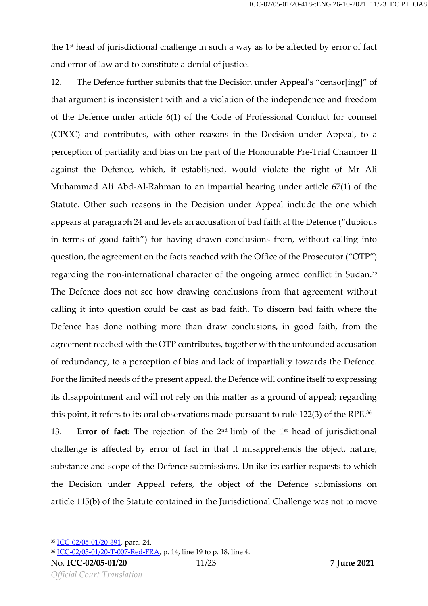the 1 st head of jurisdictional challenge in such a way as to be affected by error of fact and error of law and to constitute a denial of justice.

12. The Defence further submits that the Decision under Appeal's "censor[ing]" of that argument is inconsistent with and a violation of the independence and freedom of the Defence under article 6(1) of the Code of Professional Conduct for counsel (CPCC) and contributes, with other reasons in the Decision under Appeal, to a perception of partiality and bias on the part of the Honourable Pre-Trial Chamber II against the Defence, which, if established, would violate the right of Mr Ali Muhammad Ali Abd-Al-Rahman to an impartial hearing under article 67(1) of the Statute. Other such reasons in the Decision under Appeal include the one which appears at paragraph 24 and levels an accusation of bad faith at the Defence ("dubious in terms of good faith") for having drawn conclusions from, without calling into question, the agreement on the facts reached with the Office of the Prosecutor ("OTP") regarding the non-international character of the ongoing armed conflict in Sudan. 35 The Defence does not see how drawing conclusions from that agreement without calling it into question could be cast as bad faith. To discern bad faith where the Defence has done nothing more than draw conclusions, in good faith, from the agreement reached with the OTP contributes, together with the unfounded accusation of redundancy, to a perception of bias and lack of impartiality towards the Defence. For the limited needs of the present appeal, the Defence will confine itself to expressing its disappointment and will not rely on this matter as a ground of appeal; regarding this point, it refers to its oral observations made pursuant to rule 122(3) of the RPE. 36

13. **Error of fact:** The rejection of the 2<sup>nd</sup> limb of the 1<sup>st</sup> head of jurisdictional challenge is affected by error of fact in that it misapprehends the object, nature, substance and scope of the Defence submissions. Unlike its earlier requests to which the Decision under Appeal refers, the object of the Defence submissions on article 115(b) of the Statute contained in the Jurisdictional Challenge was not to move

<sup>35</sup> [ICC-02/05-01/20-391,](https://www.legal-tools.org/doc/lg5nag/pdf) para. 24.

<sup>36</sup> [ICC-02/05-01/20-T-007-Red-FRA,](https://www.legal-tools.org/doc/0wkm5y/pdf) p. 14, line 19 to p. 18, line 4.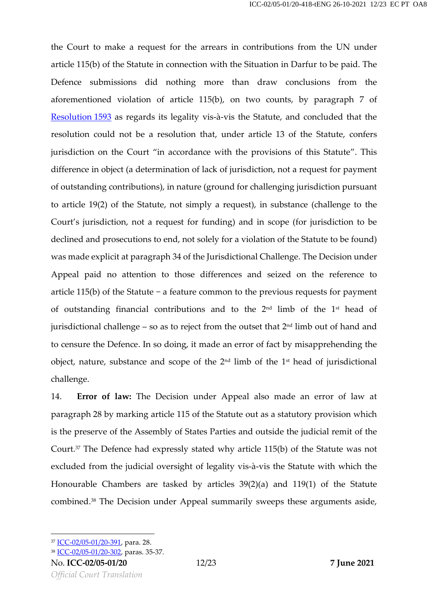the Court to make a request for the arrears in contributions from the UN under article 115(b) of the Statute in connection with the Situation in Darfur to be paid. The Defence submissions did nothing more than draw conclusions from the aforementioned violation of article 115(b), on two counts, by paragraph 7 of [Resolution](https://www.legal-tools.org/doc/4b208f/pdf) 1593 as regards its legality vis-à-vis the Statute, and concluded that the resolution could not be a resolution that, under article 13 of the Statute, confers jurisdiction on the Court "in accordance with the provisions of this Statute". This difference in object (a determination of lack of jurisdiction, not a request for payment of outstanding contributions), in nature (ground for challenging jurisdiction pursuant to article 19(2) of the Statute, not simply a request), in substance (challenge to the Court's jurisdiction, not a request for funding) and in scope (for jurisdiction to be declined and prosecutions to end, not solely for a violation of the Statute to be found) was made explicit at paragraph 34 of the Jurisdictional Challenge. The Decision under Appeal paid no attention to those differences and seized on the reference to article 115(b) of the Statute − a feature common to the previous requests for payment of outstanding financial contributions and to the  $2<sup>nd</sup>$  limb of the  $1<sup>st</sup>$  head of jurisdictional challenge – so as to reject from the outset that 2nd limb out of hand and to censure the Defence. In so doing, it made an error of fact by misapprehending the object, nature, substance and scope of the  $2<sup>nd</sup>$  limb of the  $1<sup>st</sup>$  head of jurisdictional challenge.

14. **Error of law:** The Decision under Appeal also made an error of law at paragraph 28 by marking article 115 of the Statute out as a statutory provision which is the preserve of the Assembly of States Parties and outside the judicial remit of the Court. <sup>37</sup> The Defence had expressly stated why article 115(b) of the Statute was not excluded from the judicial oversight of legality vis-à-vis the Statute with which the Honourable Chambers are tasked by articles 39(2)(a) and 119(1) of the Statute combined. <sup>38</sup> The Decision under Appeal summarily sweeps these arguments aside,

<sup>37</sup> [ICC-02/05-01/20-391,](https://www.legal-tools.org/doc/lg5nag/pdf) para. 28.

<sup>38</sup> [ICC-02/05-01/20-302,](https://www.legal-tools.org/doc/u05ku9/pdf) paras. 35-37.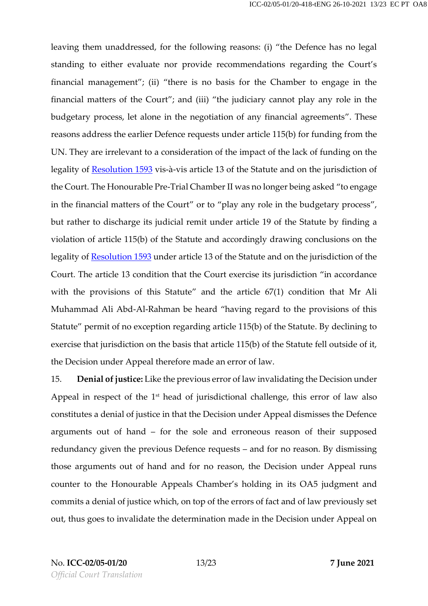leaving them unaddressed, for the following reasons: (i) "the Defence has no legal standing to either evaluate nor provide recommendations regarding the Court's financial management"; (ii) "there is no basis for the Chamber to engage in the financial matters of the Court"; and (iii) "the judiciary cannot play any role in the budgetary process, let alone in the negotiation of any financial agreements". These reasons address the earlier Defence requests under article 115(b) for funding from the UN. They are irrelevant to a consideration of the impact of the lack of funding on the legality of [Resolution](https://www.legal-tools.org/doc/4b208f/pdf) 1593 vis-à-vis article 13 of the Statute and on the jurisdiction of the Court. The Honourable Pre-Trial Chamber II was no longer being asked "to engage in the financial matters of the Court" or to "play any role in the budgetary process", but rather to discharge its judicial remit under article 19 of the Statute by finding a violation of article 115(b) of the Statute and accordingly drawing conclusions on the legality of [Resolution](https://www.legal-tools.org/doc/4b208f/pdf) 1593 under article 13 of the Statute and on the jurisdiction of the Court. The article 13 condition that the Court exercise its jurisdiction "in accordance with the provisions of this Statute" and the article 67(1) condition that Mr Ali Muhammad Ali Abd-Al-Rahman be heard "having regard to the provisions of this Statute" permit of no exception regarding article 115(b) of the Statute. By declining to exercise that jurisdiction on the basis that article 115(b) of the Statute fell outside of it, the Decision under Appeal therefore made an error of law.

15. **Denial ofjustice:** Like the previous error of law invalidating the Decision under Appeal in respect of the 1<sup>st</sup> head of jurisdictional challenge, this error of law also constitutes a denial of justice in that the Decision under Appeal dismisses the Defence arguments out of hand – for the sole and erroneous reason of their supposed redundancy given the previous Defence requests – and for no reason. By dismissing those arguments out of hand and for no reason, the Decision under Appeal runs counter to the Honourable Appeals Chamber's holding in its OA5 judgment and commits a denial of justice which, on top of the errors of fact and of law previously set out, thus goes to invalidate the determination made in the Decision under Appeal on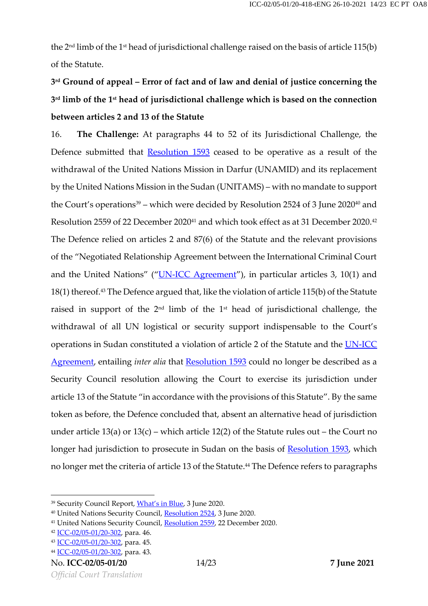the 2nd limb of the 1st head of jurisdictional challenge raised on the basis of article 115(b) of the Statute.

# **3 rd Ground of appeal – Error of fact and of law and denial of justice concerning the 3 rd limb of the 1 st head of jurisdictional challenge which is based on the connection between articles 2 and 13 of the Statute**

16. **The Challenge:** At paragraphs 44 to 52 of its Jurisdictional Challenge, the Defence submitted that **[Resolution](https://www.legal-tools.org/doc/4b208f/pdf) 1593** ceased to be operative as a result of the withdrawal of the United Nations Mission in Darfur (UNAMID) and its replacement by the United Nations Mission in the Sudan (UNITAMS) – with no mandate to support the Court's operations<sup>39</sup> – which were decided by Resolution 2524 of 3 June 2020<sup>40</sup> and Resolution 2559 of 22 December 2020<sup>41</sup> and which took effect as at 31 December 2020. 42 The Defence relied on articles 2 and 87(6) of the Statute and the relevant provisions of the "Negotiated Relationship Agreement between the International Criminal Court and the United Nations" ("[UN-ICC Agreement](https://www.icc-cpi.int/NR/rdonlyres/916FC6A2-7846-4177-A5EA-5AA9B6D1E96C/0/ICCASP3Res1_English.pdf)"), in particular articles 3, 10(1) and 18(1) thereof. <sup>43</sup> The Defence argued that, like the violation of article 115(b) of the Statute raised in support of the  $2^{\text{nd}}$  limb of the  $1^{\text{st}}$  head of jurisdictional challenge, the withdrawal of all UN logistical or security support indispensable to the Court's operations in Sudan constituted a violation of article 2 of the Statute and the [UN-ICC](https://www.icc-cpi.int/NR/rdonlyres/916FC6A2-7846-4177-A5EA-5AA9B6D1E96C/0/ICCASP3Res1_English.pdf)  [Agreement,](https://www.icc-cpi.int/NR/rdonlyres/916FC6A2-7846-4177-A5EA-5AA9B6D1E96C/0/ICCASP3Res1_English.pdf) entailing *inter alia* that [Resolution](https://www.legal-tools.org/doc/4b208f/pdf) 1593 could no longer be described as a Security Council resolution allowing the Court to exercise its jurisdiction under article 13 of the Statute "in accordance with the provisions of this Statute". By the same token as before, the Defence concluded that, absent an alternative head of jurisdiction under article 13(a) or 13(c) – which article 12(2) of the Statute rules out – the Court no longer had jurisdiction to prosecute in Sudan on the basis of [Resolution](https://www.legal-tools.org/doc/4b208f/pdf) 1593, which no longer met the criteria of article 13 of the Statute. <sup>44</sup> The Defence refers to paragraphs

<sup>39</sup> Security Council Report, *[What's in Blue](https://www.securitycouncilreport.org/whatsinblue/2020/06/resolutions-on-the-un-au-hybrid-operation-in-darfur-unamid-and-the-establishment-of-a-follow-on-mission.php)*, 3 June 2020.

<sup>40</sup> United Nations Security Council, [Resolution 2524,](https://undocs.org/en/S/RES/2524(2020)) 3 June 2020.

<sup>&</sup>lt;sup>41</sup> United Nations Security Council, [Resolution 2559,](https://undocs.org/en/S/RES/2559(2020)) 22 December 2020.

<sup>42</sup> [ICC-02/05-01/20-302,](https://www.legal-tools.org/doc/u05ku9/pdf) para. 46.

<sup>43</sup> [ICC-02/05-01/20-302,](https://www.legal-tools.org/doc/u05ku9/pdf) para. 45.

<sup>44</sup> [ICC-02/05-01/20-302,](https://www.legal-tools.org/doc/u05ku9/pdf) para. 43.

No. **ICC-02/05-01/20** 14/23 **7 June 2021**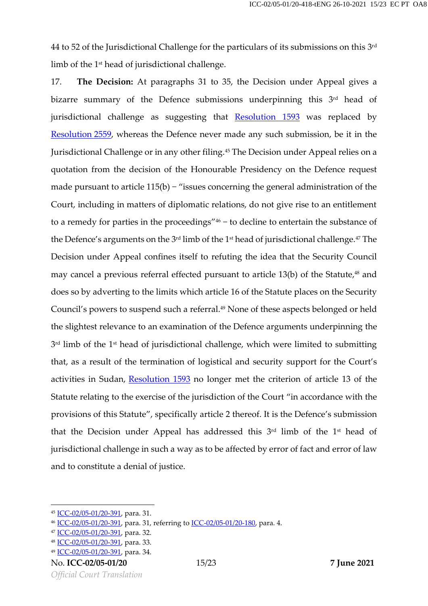$44$  to 52 of the Jurisdictional Challenge for the particulars of its submissions on this  $3^{\rm rd}$ limb of the 1 st head of jurisdictional challenge.

17. **The Decision:** At paragraphs 31 to 35, the Decision under Appeal gives a bizarre summary of the Defence submissions underpinning this 3<sup>rd</sup> head of jurisdictional challenge as suggesting that **[Resolution](https://www.legal-tools.org/doc/4b208f/pdf) 1593** was replaced by [Resolution](http://undocs.org/fr/S/RES/2559(2020)) 2559, whereas the Defence never made any such submission, be it in the Jurisdictional Challenge or in any other filing.<sup>45</sup> The Decision under Appeal relies on a quotation from the decision of the Honourable Presidency on the Defence request made pursuant to article 115(b) − "issues concerning the general administration of the Court, including in matters of diplomatic relations, do not give rise to an entitlement to a remedy for parties in the proceedings" <sup>46</sup> − to decline to entertain the substance of the Defence's arguments on the 3<sup>rd</sup> limb of the 1st head of jurisdictional challenge.<sup>47</sup> The Decision under Appeal confines itself to refuting the idea that the Security Council may cancel a previous referral effected pursuant to article 13(b) of the Statute, <sup>48</sup> and does so by adverting to the limits which article 16 of the Statute places on the Security Council's powers to suspend such a referral. <sup>49</sup> None of these aspects belonged or held the slightest relevance to an examination of the Defence arguments underpinning the  $3^{\rm rd}$  limb of the  $1^{\rm st}$  head of jurisdictional challenge, which were limited to submitting that, as a result of the termination of logistical and security support for the Court's activities in Sudan, [Resolution](https://www.legal-tools.org/doc/4b208f/pdf) 1593 no longer met the criterion of article 13 of the Statute relating to the exercise of the jurisdiction of the Court "in accordance with the provisions of this Statute", specifically article 2 thereof. It is the Defence's submission that the Decision under Appeal has addressed this 3<sup>rd</sup> limb of the 1<sup>st</sup> head of jurisdictional challenge in such a way as to be affected by error of fact and error of law and to constitute a denial of justice.

<sup>45</sup> [ICC-02/05-01/20-391,](https://www.legal-tools.org/doc/lg5nag/pdf) para. 31.

<sup>46</sup> [ICC-02/05-01/20-391,](https://www.legal-tools.org/doc/lg5nag/pdf) para. 31, referring to [ICC-02/05-01/20-180,](https://www.legal-tools.org/doc/bq4wwf/pdf) para. 4.

<sup>47</sup> [ICC-02/05-01/20-391,](https://www.legal-tools.org/doc/lg5nag/pdf) para. 32.

<sup>48</sup> [ICC-02/05-01/20-391,](https://www.legal-tools.org/doc/lg5nag/pdf) para. 33.

<sup>49</sup> [ICC-02/05-01/20-391,](https://www.legal-tools.org/doc/lg5nag/pdf) para. 34.

No. **ICC-02/05-01/20** 15/23 **7 June 2021**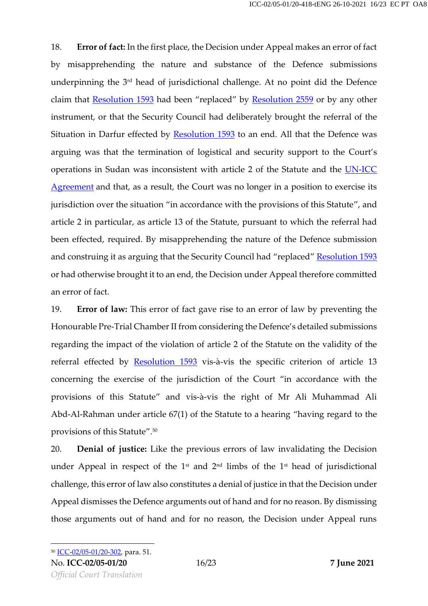18. **Error of fact:** In the first place, the Decision under Appeal makes an error of fact by misapprehending the nature and substance of the Defence submissions underpinning the 3<sup>rd</sup> head of jurisdictional challenge. At no point did the Defence claim that [Resolution](http://undocs.org/fr/S/RES/2559(2020)) 1593 had been "replaced" by Resolution 2559 or by any other instrument, or that the Security Council had deliberately brought the referral of the Situation in Darfur effected by [Resolution](https://www.legal-tools.org/doc/4b208f/pdf) 1593 to an end. All that the Defence was arguing was that the termination of logistical and security support to the Court's operations in Sudan was inconsistent with article 2 of the Statute and the [UN-ICC](https://www.icc-cpi.int/NR/rdonlyres/916FC6A2-7846-4177-A5EA-5AA9B6D1E96C/0/ICCASP3Res1_English.pdf)  [Agreement](https://www.icc-cpi.int/NR/rdonlyres/916FC6A2-7846-4177-A5EA-5AA9B6D1E96C/0/ICCASP3Res1_English.pdf) and that, as a result, the Court was no longer in a position to exercise its jurisdiction over the situation "in accordance with the provisions of this Statute", and article 2 in particular, as article 13 of the Statute, pursuant to which the referral had been effected, required. By misapprehending the nature of the Defence submission and construing it as arguing that the Security Council had "replaced" [Resolution 1593](https://www.legal-tools.org/doc/4b208f/pdf) or had otherwise brought it to an end, the Decision under Appeal therefore committed an error of fact.

19. **Error of law:** This error of fact gave rise to an error of law by preventing the Honourable Pre-Trial Chamber II from considering the Defence's detailed submissions regarding the impact of the violation of article 2 of the Statute on the validity of the referral effected by **[Resolution](https://www.legal-tools.org/doc/4b208f/pdf) 1593** vis-à-vis the specific criterion of article 13 concerning the exercise of the jurisdiction of the Court "in accordance with the provisions of this Statute" and vis-à-vis the right of Mr Ali Muhammad Ali Abd-Al-Rahman under article 67(1) of the Statute to a hearing "having regard to the provisions of this Statute". 50

20. **Denial of justice:** Like the previous errors of law invalidating the Decision under Appeal in respect of the  $1<sup>st</sup>$  and  $2<sup>nd</sup>$  limbs of the  $1<sup>st</sup>$  head of jurisdictional challenge, this error of law also constitutes a denial of justice in that the Decision under Appeal dismisses the Defence arguments out of hand and for no reason. By dismissing those arguments out of hand and for no reason, the Decision under Appeal runs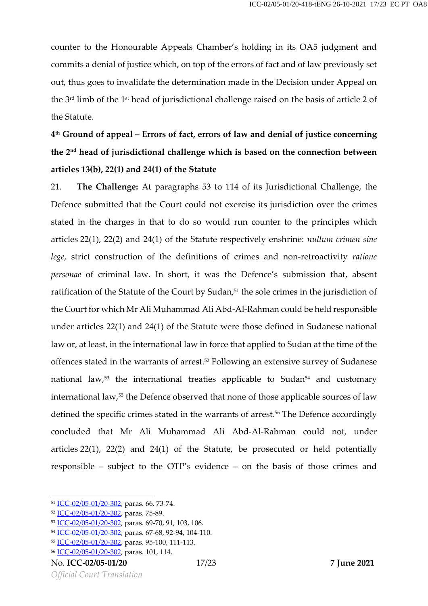counter to the Honourable Appeals Chamber's holding in its OA5 judgment and commits a denial of justice which, on top of the errors of fact and of law previously set out, thus goes to invalidate the determination made in the Decision under Appeal on the  $3^{\rm rd}$  limb of the  $1^{\rm st}$  head of jurisdictional challenge raised on the basis of article 2 of the Statute.

**4 th Ground of appeal – Errors of fact, errors of law and denial of justice concerning the 2 nd head of jurisdictional challenge which is based on the connection between articles 13(b), 22(1) and 24(1) of the Statute**

21. **The Challenge:** At paragraphs 53 to 114 of its Jurisdictional Challenge, the Defence submitted that the Court could not exercise its jurisdiction over the crimes stated in the charges in that to do so would run counter to the principles which articles 22(1), 22(2) and 24(1) of the Statute respectively enshrine: *nullum crimen sine lege*, strict construction of the definitions of crimes and non-retroactivity *ratione personae* of criminal law. In short, it was the Defence's submission that, absent ratification of the Statute of the Court by Sudan, <sup>51</sup> the sole crimes in the jurisdiction of the Court for which Mr Ali Muhammad Ali Abd-Al-Rahman could be held responsible under articles 22(1) and 24(1) of the Statute were those defined in Sudanese national law or, at least, in the international law in force that applied to Sudan at the time of the offences stated in the warrants of arrest. <sup>52</sup> Following an extensive survey of Sudanese national law, <sup>53</sup> the international treaties applicable to Sudan<sup>54</sup> and customary international law,<sup>55</sup> the Defence observed that none of those applicable sources of law defined the specific crimes stated in the warrants of arrest. <sup>56</sup> The Defence accordingly concluded that Mr Ali Muhammad Ali Abd-Al-Rahman could not, under articles 22(1), 22(2) and 24(1) of the Statute, be prosecuted or held potentially responsible – subject to the OTP's evidence – on the basis of those crimes and

<sup>51</sup> [ICC-02/05-01/20-302,](https://www.legal-tools.org/doc/u05ku9/pdf) paras. 66, 73-74.

<sup>52</sup> [ICC-02/05-01/20-302,](https://www.legal-tools.org/doc/u05ku9/pdf) paras. 75-89.

<sup>53</sup> [ICC-02/05-01/20-302,](https://www.legal-tools.org/doc/u05ku9/pdf) paras. 69-70, 91, 103, 106.

<sup>54</sup> [ICC-02/05-01/20-302,](https://www.legal-tools.org/doc/u05ku9/pdf) paras. 67-68, 92-94, 104-110.

<sup>55</sup> [ICC-02/05-01/20-302,](https://www.legal-tools.org/doc/u05ku9/pdf) paras. 95-100, 111-113.

<sup>56</sup> [ICC-02/05-01/20-302,](https://www.legal-tools.org/doc/u05ku9/pdf) paras. 101, 114.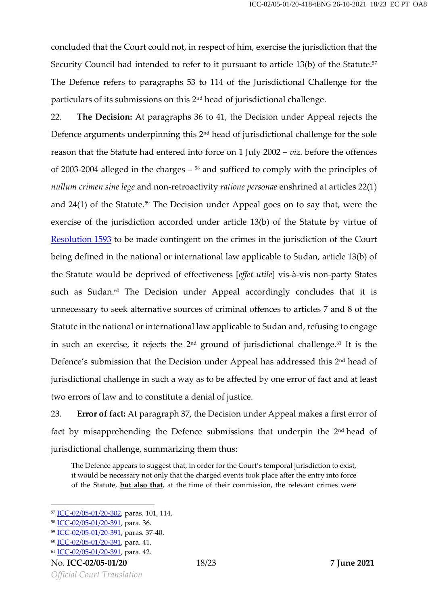concluded that the Court could not, in respect of him, exercise the jurisdiction that the Security Council had intended to refer to it pursuant to article 13(b) of the Statute. 57 The Defence refers to paragraphs 53 to 114 of the Jurisdictional Challenge for the particulars of its submissions on this 2nd head of jurisdictional challenge.

22. **The Decision:** At paragraphs 36 to 41, the Decision under Appeal rejects the Defence arguments underpinning this 2<sup>nd</sup> head of jurisdictional challenge for the sole reason that the Statute had entered into force on 1 July 2002 – *viz*. before the offences of 2003-2004 alleged in the charges – <sup>58</sup> and sufficed to comply with the principles of *nullum crimen sine lege* and non-retroactivity *ratione personae* enshrined at articles 22(1) and 24(1) of the Statute. <sup>59</sup> The Decision under Appeal goes on to say that, were the exercise of the jurisdiction accorded under article 13(b) of the Statute by virtue of [Resolution](https://www.legal-tools.org/doc/4b208f/pdf) 1593 to be made contingent on the crimes in the jurisdiction of the Court being defined in the national or international law applicable to Sudan, article 13(b) of the Statute would be deprived of effectiveness [*effet utile*] vis-à-vis non-party States such as Sudan. <sup>60</sup> The Decision under Appeal accordingly concludes that it is unnecessary to seek alternative sources of criminal offences to articles 7 and 8 of the Statute in the national or international law applicable to Sudan and, refusing to engage in such an exercise, it rejects the  $2^{\text{nd}}$  ground of jurisdictional challenge. $^{61}$  It is the Defence's submission that the Decision under Appeal has addressed this 2<sup>nd</sup> head of jurisdictional challenge in such a way as to be affected by one error of fact and at least two errors of law and to constitute a denial of justice.

23. **Error of fact:** At paragraph 37, the Decision under Appeal makes a first error of fact by misapprehending the Defence submissions that underpin the 2<sup>nd</sup>head of jurisdictional challenge, summarizing them thus:

The Defence appears to suggest that, in order for the Court's temporal jurisdiction to exist, it would be necessary not only that the charged events took place after the entry into force of the Statute, **but also that**, at the time of their commission, the relevant crimes were

<sup>57</sup> [ICC-02/05-01/20-302,](https://www.legal-tools.org/doc/u05ku9/pdf) paras. 101, 114.

<sup>58</sup> [ICC-02/05-01/20-391,](https://www.legal-tools.org/doc/lg5nag/pdf) para. 36.

<sup>59</sup> [ICC-02/05-01/20-391,](https://www.legal-tools.org/doc/lg5nag/pdf) paras. 37-40.

<sup>60</sup> [ICC-02/05-01/20-391,](https://www.legal-tools.org/doc/lg5nag/pdf) para. 41.

<sup>61</sup> [ICC-02/05-01/20-391,](https://www.legal-tools.org/doc/lg5nag/pdf) para. 42.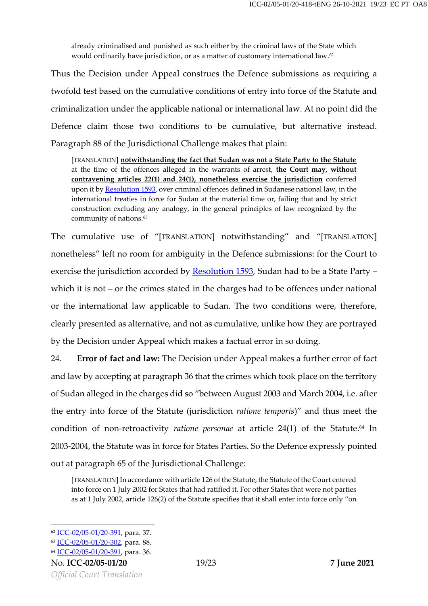already criminalised and punished as such either by the criminal laws of the State which would ordinarily have jurisdiction, or as a matter of customary international law. 62

Thus the Decision under Appeal construes the Defence submissions as requiring a twofold test based on the cumulative conditions of entry into force of the Statute and criminalization under the applicable national or international law. At no point did the Defence claim those two conditions to be cumulative, but alternative instead. Paragraph 88 of the Jurisdictional Challenge makes that plain:

[TRANSLATION] **notwithstanding the fact that Sudan was not a State Party to the Statute** at the time of the offences alleged in the warrants of arrest, **the Court may, without contravening articles 22(1) and 24(1), nonetheless exercise the jurisdiction** conferred upon it b[y Resolution 1593,](https://www.legal-tools.org/doc/4b208f/pdf) over criminal offences defined in Sudanese national law, in the international treaties in force for Sudan at the material time or, failing that and by strict construction excluding any analogy, in the general principles of law recognized by the community of nations.<sup>63</sup>

The cumulative use of "[TRANSLATION] notwithstanding" and "[TRANSLATION] nonetheless" left no room for ambiguity in the Defence submissions: for the Court to exercise the jurisdiction accorded by **[Resolution](https://www.legal-tools.org/doc/4b208f/pdf) 1593**, Sudan had to be a State Party – which it is not – or the crimes stated in the charges had to be offences under national or the international law applicable to Sudan. The two conditions were, therefore, clearly presented as alternative, and not as cumulative, unlike how they are portrayed by the Decision under Appeal which makes a factual error in so doing.

24. **Error of fact and law:** The Decision under Appeal makes a further error of fact and law by accepting at paragraph 36 that the crimes which took place on the territory of Sudan alleged in the charges did so "between August 2003 and March 2004, i.e. after the entry into force of the Statute (jurisdiction *ratione temporis*)" and thus meet the condition of non-retroactivity *ratione personae* at article 24(1) of the Statute. <sup>64</sup> In 2003-2004, the Statute was in force for States Parties. So the Defence expressly pointed out at paragraph 65 of the Jurisdictional Challenge:

[TRANSLATION] In accordance with article 126 of the Statute, the Statute of the Court entered into force on 1 July 2002 for States that had ratified it. For other States that were not parties as at 1 July 2002, article 126(2) of the Statute specifies that it shall enter into force only "on

<sup>62</sup> [ICC-02/05-01/20-391,](https://www.legal-tools.org/doc/lg5nag/pdf) para. 37.

<sup>63</sup> [ICC-02/05-01/20-302,](https://www.legal-tools.org/doc/u05ku9/pdf) para. 88.

<sup>64</sup> [ICC-02/05-01/20-391,](https://www.legal-tools.org/doc/lg5nag/pdf) para. 36.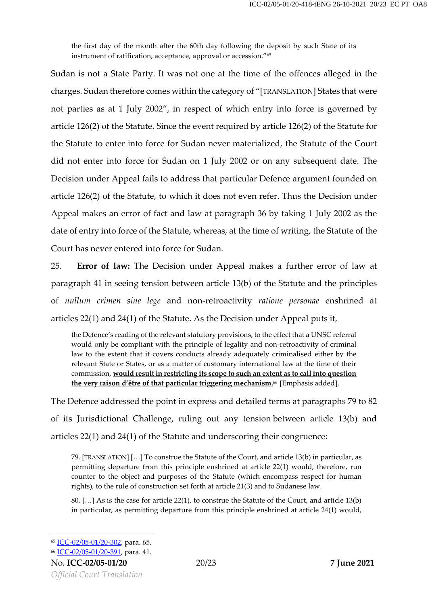the first day of the month after the 60th day following the deposit by such State of its instrument of ratification, acceptance, approval or accession."<sup>65</sup>

Sudan is not a State Party. It was not one at the time of the offences alleged in the charges. Sudan therefore comes within the category of "[TRANSLATION] States that were not parties as at 1 July 2002", in respect of which entry into force is governed by article 126(2) of the Statute. Since the event required by article 126(2) of the Statute for the Statute to enter into force for Sudan never materialized, the Statute of the Court did not enter into force for Sudan on 1 July 2002 or on any subsequent date. The Decision under Appeal fails to address that particular Defence argument founded on article 126(2) of the Statute, to which it does not even refer. Thus the Decision under Appeal makes an error of fact and law at paragraph 36 by taking 1 July 2002 as the date of entry into force of the Statute, whereas, at the time of writing, the Statute of the Court has never entered into force for Sudan.

25. **Error of law:** The Decision under Appeal makes a further error of law at paragraph 41 in seeing tension between article 13(b) of the Statute and the principles of *nullum crimen sine lege* and non-retroactivity *ratione personae* enshrined at articles 22(1) and 24(1) of the Statute. As the Decision under Appeal puts it,

the Defence's reading of the relevant statutory provisions, to the effect that a UNSC referral would only be compliant with the principle of legality and non-retroactivity of criminal law to the extent that it covers conducts already adequately criminalised either by the relevant State or States, or as a matter of customary international law at the time of their commission, **would result in restricting its scope to such an extent as to call into question the very raison d'être of that particular triggering mechanism.** <sup>66</sup> [Emphasis added].

The Defence addressed the point in express and detailed terms at paragraphs 79 to 82 of its Jurisdictional Challenge, ruling out any tension between article 13(b) and articles 22(1) and 24(1) of the Statute and underscoring their congruence:

79. [TRANSLATION] […] To construe the Statute of the Court, and article 13(b) in particular, as permitting departure from this principle enshrined at article 22(1) would, therefore, run counter to the object and purposes of the Statute (which encompass respect for human rights), to the rule of construction set forth at article 21(3) and to Sudanese law.

80. […] As is the case for article 22(1), to construe the Statute of the Court, and article 13(b) in particular, as permitting departure from this principle enshrined at article 24(1) would,

<sup>65</sup> [ICC-02/05-01/20-302,](https://www.legal-tools.org/doc/u05ku9/pdf) para. 65.

<sup>66</sup> [ICC-02/05-01/20-391,](https://www.legal-tools.org/doc/lg5nag/pdf) para. 41.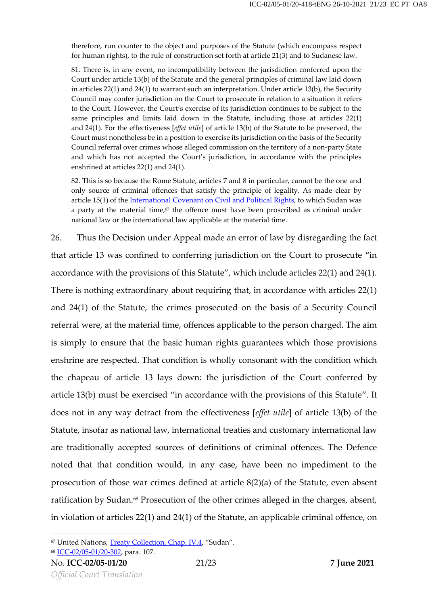therefore, run counter to the object and purposes of the Statute (which encompass respect for human rights), to the rule of construction set forth at article 21(3) and to Sudanese law.

81. There is, in any event, no incompatibility between the jurisdiction conferred upon the Court under article 13(b) of the Statute and the general principles of criminal law laid down in articles 22(1) and 24(1) to warrant such an interpretation. Under article 13(b), the Security Council may confer jurisdiction on the Court to prosecute in relation to a situation it refers to the Court. However, the Court's exercise of its jurisdiction continues to be subject to the same principles and limits laid down in the Statute, including those at articles 22(1) and 24(1). For the effectiveness [*effet utile*] of article 13(b) of the Statute to be preserved, the Court must nonetheless be in a position to exercise its jurisdiction on the basis of the Security Council referral over crimes whose alleged commission on the territory of a non-party State and which has not accepted the Court's jurisdiction, in accordance with the principles enshrined at articles 22(1) and 24(1).

82. This is so because the Rome Statute, articles 7 and 8 in particular, cannot be the one and only source of criminal offences that satisfy the principle of legality. As made clear by article 15(1) of the [International Covenant on Civil and](https://treaties.un.org/doc/Treaties/1976/03/19760323%2006-17%20AM/Ch_IV_04.pdf) Political Rights, to which Sudan was a party at the material time, $\epsilon^7$  the offence must have been proscribed as criminal under national law or the international law applicable at the material time.

26. Thus the Decision under Appeal made an error of law by disregarding the fact that article 13 was confined to conferring jurisdiction on the Court to prosecute "in accordance with the provisions of this Statute", which include articles 22(1) and 24(1). There is nothing extraordinary about requiring that, in accordance with articles 22(1) and 24(1) of the Statute, the crimes prosecuted on the basis of a Security Council referral were, at the material time, offences applicable to the person charged. The aim is simply to ensure that the basic human rights guarantees which those provisions enshrine are respected. That condition is wholly consonant with the condition which the chapeau of article 13 lays down: the jurisdiction of the Court conferred by article 13(b) must be exercised "in accordance with the provisions of this Statute". It does not in any way detract from the effectiveness [*effet utile*] of article 13(b) of the Statute, insofar as national law, international treaties and customary international law are traditionally accepted sources of definitions of criminal offences. The Defence noted that that condition would, in any case, have been no impediment to the prosecution of those war crimes defined at article 8(2)(a) of the Statute, even absent ratification by Sudan. <sup>68</sup> Prosecution of the other crimes alleged in the charges, absent, in violation of articles 22(1) and 24(1) of the Statute, an applicable criminal offence, on

<sup>&</sup>lt;sup>67</sup> United Nations[, Treaty Collection, Chap. IV.4](https://treaties.un.org/pages/ViewDetails.aspx?src=TREATY&mtdsg_no=IV-4&chapter=4&clang=_en), "Sudan".

<sup>68</sup> [ICC-02/05-01/20-302,](https://www.legal-tools.org/doc/u05ku9/pdf) para. 107.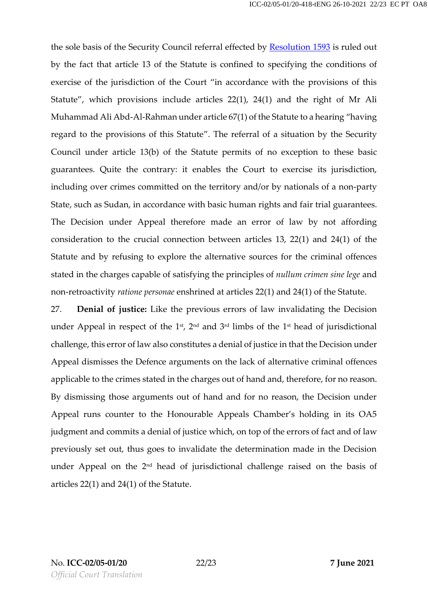the sole basis of the Security Council referral effected by **[Resolution](https://www.legal-tools.org/doc/4b208f/pdf) 1593** is ruled out by the fact that article 13 of the Statute is confined to specifying the conditions of exercise of the jurisdiction of the Court "in accordance with the provisions of this Statute", which provisions include articles 22(1), 24(1) and the right of Mr Ali Muhammad Ali Abd-Al-Rahman under article 67(1) of the Statute to a hearing "having regard to the provisions of this Statute". The referral of a situation by the Security Council under article 13(b) of the Statute permits of no exception to these basic guarantees. Quite the contrary: it enables the Court to exercise its jurisdiction, including over crimes committed on the territory and/or by nationals of a non-party State, such as Sudan, in accordance with basic human rights and fair trial guarantees. The Decision under Appeal therefore made an error of law by not affording consideration to the crucial connection between articles 13, 22(1) and 24(1) of the Statute and by refusing to explore the alternative sources for the criminal offences stated in the charges capable of satisfying the principles of *nullum crimen sine lege* and non-retroactivity *ratione personae* enshrined at articles 22(1) and 24(1) of the Statute.

27. **Denial of justice:** Like the previous errors of law invalidating the Decision under Appeal in respect of the  $1$ <sup>st</sup>,  $2^{\text{nd}}$  and  $3^{\text{rd}}$  limbs of the  $1^{\text{st}}$  head of jurisdictional challenge, this error of law also constitutes a denial of justice in that the Decision under Appeal dismisses the Defence arguments on the lack of alternative criminal offences applicable to the crimes stated in the charges out of hand and, therefore, for no reason. By dismissing those arguments out of hand and for no reason, the Decision under Appeal runs counter to the Honourable Appeals Chamber's holding in its OA5 judgment and commits a denial of justice which, on top of the errors of fact and of law previously set out, thus goes to invalidate the determination made in the Decision under Appeal on the 2<sup>nd</sup> head of jurisdictional challenge raised on the basis of articles 22(1) and 24(1) of the Statute.